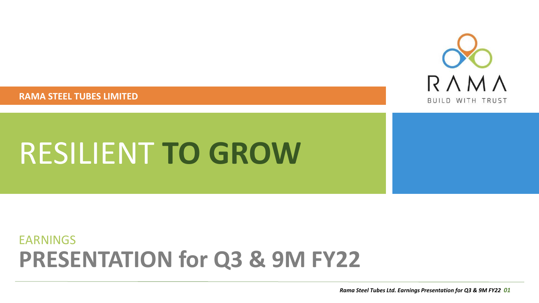**RAMA STEEL TUBES LIMITED**



# RESILIENT **TO GROW**

### **PRESENTATION for Q3 & 9M FY22** EARNINGS

*Rama Steel Tubes Ltd. Earnings Presentation for Q3 & 9M FY22 01*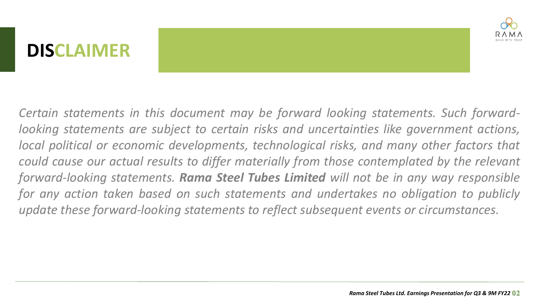# **DISCLAIMER**



*Certain statements in this document may be forward looking statements. Such forwardlooking statements are subject to certain risks and uncertainties like government actions, local political or economic developments, technological risks, and many other factors that could cause our actual results to differ materially from those contemplated by the relevant forward-looking statements. Rama Steel Tubes Limited will not be in any way responsible for any action taken based on such statements and undertakes no obligation to publicly update these forward-looking statements to reflect subsequent events or circumstances.*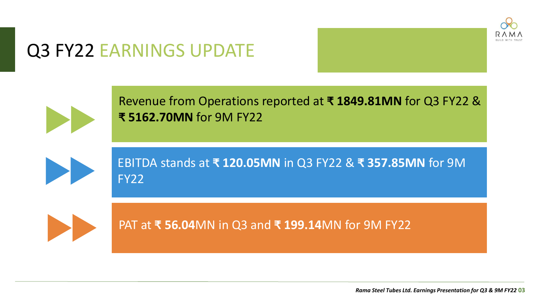

# Q3 FY22 EARNINGS UPDATE



Revenue from Operations reported at **₹ 1849.81MN** for Q3 FY22 & **₹ 5162.70MN** for 9M FY22



EBITDA stands at **₹ 120.05MN** in Q3 FY22 & **₹ 357.85MN** for 9M FY22



PAT at **₹ 56.04**MN in Q3 and **₹ 199.14**MN for 9M FY22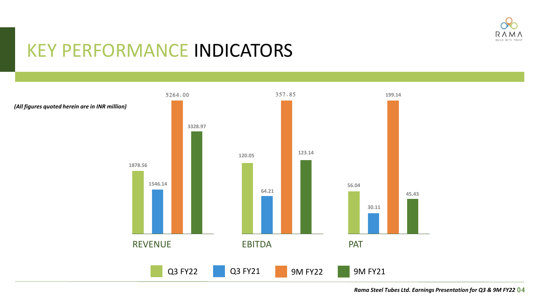

### KEY PERFORMANCE INDICATORS

5264.00

Q3 FY22 Q3 FY21 9M FY22 9M FY21 REVENUE **1878.56 1546.14 3328.97** EBITDA **120.05 64.21 123.14** PAT **56.04 30.11**

357.85

*(All figures quoted herein are in INR million)*

*Rama Steel Tubes Ltd. Earnings Presentation for Q3 & 9M FY22* 04

**199.14**

**45.43**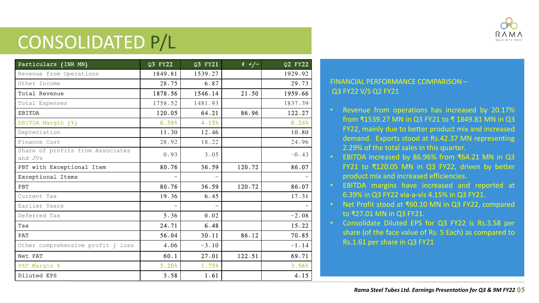

# CONSOLIDATED P/L

| Particulars (INR MN)                        | Q3 FY22 | Q3 FY21 | $\frac{2}{6} + \frac{1}{2}$ | Q2 FY22 |
|---------------------------------------------|---------|---------|-----------------------------|---------|
| Revenue from Operations                     | 1849.81 | 1539.27 |                             | 1929.92 |
| Other Income                                | 28.75   | 6.87    |                             | 29.73   |
| Total Revenue                               | 1878.56 | 1546.14 | 21.50                       | 1959.66 |
| Total Expenses                              | 1758.52 | 1481.93 |                             | 1837.39 |
| <b>EBITDA</b>                               | 120.05  | 64.21   | 86.96                       | 122.27  |
| EBITDA Margin (%)                           | 6.39%   | 4.15%   |                             | 6.24%   |
| Depreciation                                | 11.30   | 12.46   |                             | 10.80   |
| Finance Cost                                | 28.92   | 18.22   |                             | 24.96   |
| Share of profits from Associates<br>and JVs | 0.93    | 3.05    |                             | $-0.43$ |
| PBT with Exceptional Item                   | 80.76   | 36.59   | 120.72                      | 86.07   |
| Exceptional Items                           |         |         |                             |         |
| PBT                                         | 80.76   | 36.59   | 120.72                      | 86.07   |
| Current Tax                                 | 19.36   | 6.45    |                             | 17.31   |
| Earlier Years                               |         |         |                             |         |
| Deferred Tax                                | 5.36    | 0.02    |                             | $-2.08$ |
| Tax                                         | 24.71   | 6.48    |                             | 15.22   |
| PAT                                         | 56.04   | 30.11   | 86.12                       | 70.85   |
| Other comprehensive profit / loss           | 4.06    | $-3.10$ |                             | $-1.14$ |
| Net PAT                                     | 60.1    | 27.01   | 122.51                      | 69.71   |
| PAT Margin %                                | 3.20%   | 1.75%   |                             | 3.56%   |
| Diluted EPS                                 | 3.58    | 1.61    |                             | 4.15    |

#### FINANCIAL PERFORMANCE COMPARISON – Q3 FY22 V/S Q2 FY21

- Revenue from operations has increased by 20.17% from ₹1539.27 MN in Q3 FY21 to ₹ 1849.81 MN in Q3 FY22, mainly due to better product mix and increased demand. Exports stood at Rs.42.37 MN representing 2.29% of the total sales in this quarter.
- EBITDA increased by 86.96% from ₹64.21 MN in Q3 FY21 to ₹120.05 MN in Q3 FY22, driven by better product mix and increased efficiencies.
- EBITDA margins have increased and reported at 6.39% in Q3 FY22 via-a-vis 4.15% in Q3 FY21.
- Net Profit stood at ₹60.10 MN in Q3 FY22, compared to ₹27.01 MN in Q3 FY21.
- Consolidate Diluted EPS for Q3 FY22 is Rs.3.58 per share (of the face value of Rs. 5 Each) as compared to Rs.1.61 per share in Q3 FY21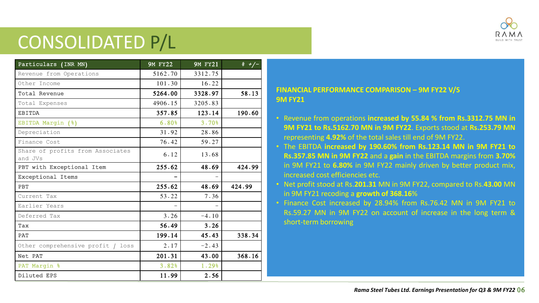

# CONSOLIDATED P/L

| Particulars (INR MN)                        | <b>9M FY22</b> | <b>9M FY21</b> | $\frac{2}{6} + 7$ |
|---------------------------------------------|----------------|----------------|-------------------|
| Revenue from Operations                     | 5162.70        | 3312.75        |                   |
| Other Income                                | 101.30         | 16.22          |                   |
| Total Revenue                               | 5264.00        | 3328.97        | 58.13             |
| Total Expenses                              | 4906.15        | 3205.83        |                   |
| <b>EBITDA</b>                               | 357.85         | 123.14         | 190.60            |
| EBITDA Margin (%)                           | 6.80%          | 3.70%          |                   |
| Depreciation                                | 31.92          | 28.86          |                   |
| Finance Cost                                | 76.42          | 59.27          |                   |
| Share of profits from Associates<br>and JVs | 6.12           | 13.68          |                   |
| PBT with Exceptional Item                   | 255.62         | 48.69          | 424.99            |
| Exceptional Items                           |                |                |                   |
| PBT                                         | 255.62         | 48.69          | 424.99            |
| Current Tax                                 | 53.22          | 7.36           |                   |
| Earlier Years                               |                |                |                   |
| Deferred Tax                                | 3.26           | $-4.10$        |                   |
| Tax                                         | 56.49          | 3.26           |                   |
| <b>PAT</b>                                  | 199.14         | 45.43          | 338.34            |
| Other comprehensive profit / loss           | 2.17           | $-2.43$        |                   |
| Net PAT                                     | 201.31         | 43.00          | 368.16            |
| PAT Margin %                                | 3.82%          | 1.29%          |                   |
| Diluted EPS                                 | 11.99          | 2.56           |                   |

#### **FINANCIAL PERFORMANCE COMPARISON – 9M FY22 V/S 9M FY21**

- Revenue from operations **increased by 55.84 % from Rs.3312.75 MN in 9M FY21 to Rs.5162.70 MN in 9M FY22**. Exports stood at **Rs.253.79 MN** representing **4.92%** of the total sales till end of 9M FY22.
- The EBITDA **increased by 190.60% from Rs.123.14 MN in 9M FY21 to Rs.357.85 MN in 9M FY22** and a **gain** in the EBITDA margins from **3.70%** in 9M FY21 to **6.80%** in 9M FY22 mainly driven by better product mix, increased cost efficiencies etc.
- Net profit stood at Rs.**201.31** MN in 9M FY22, compared to Rs.**43.00** MN in 9M FY21 recoding a **growth of 368.16**%
- Finance Cost increased by 28.94% from Rs.76.42 MN in 9M FY21 to Rs.59.27 MN in 9M FY22 on account of increase in the long term & short-term borrowing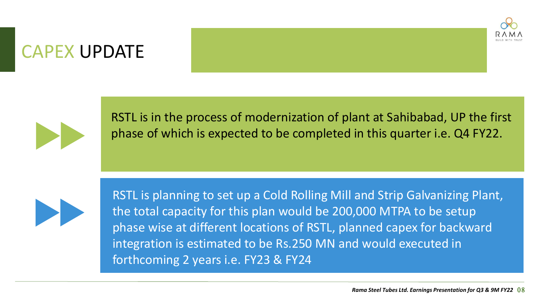

### CAPEX UPDATE



RSTL is in the process of modernization of plant at Sahibabad, UP the first phase of which is expected to be completed in this quarter i.e. Q4 FY22.



RSTL is planning to set up a Cold Rolling Mill and Strip Galvanizing Plant, the total capacity for this plan would be 200,000 MTPA to be setup phase wise at different locations of RSTL, planned capex for backward integration is estimated to be Rs.250 MN and would executed in forthcoming 2 years i.e. FY23 & FY24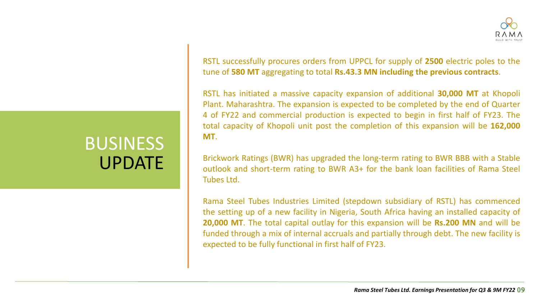

RSTL successfully procures orders from UPPCL for supply of **2500** electric poles to the tune of **580 MT** aggregating to total **Rs.43.3 MN including the previous contracts**.

RSTL has initiated a massive capacity expansion of additional **30,000 MT** at Khopoli Plant. Maharashtra. The expansion is expected to be completed by the end of Quarter 4 of FY22 and commercial production is expected to begin in first half of FY23. The total capacity of Khopoli unit post the completion of this expansion will be **162,000 MT**.

Brickwork Ratings (BWR) has upgraded the long-term rating to BWR BBB with a Stable outlook and short-term rating to BWR A3+ for the bank loan facilities of Rama Steel Tubes Ltd.

Rama Steel Tubes Industries Limited (stepdown subsidiary of RSTL) has commenced the setting up of a new facility in Nigeria, South Africa having an installed capacity of **20,000 MT**. The total capital outlay for this expansion will be **Rs.200 MN** and will be funded through a mix of internal accruals and partially through debt. The new facility is expected to be fully functional in first half of FY23.

Rama Steel Tubes I Investor Presentation 2021 **9**

**5**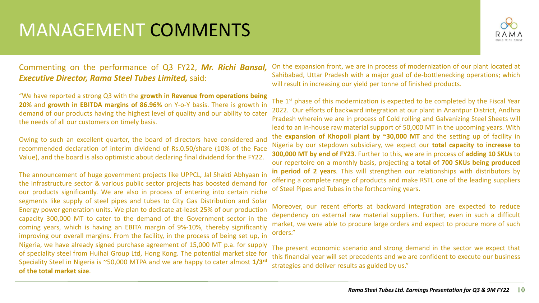# MANAGEMENT COMMENTS



#### Commenting on the performance of Q3 FY22, *Mr. Richi Bansal, Executive Director, Rama Steel Tubes Limited,* said:

"We have reported a strong Q3 with the **growth in Revenue from operations being 20%** and **growth in EBITDA margins of 86.96%** on Y-o-Y basis. There is growth in demand of our products having the highest level of quality and our ability to cater the needs of all our customers on timely basis.

Owing to such an excellent quarter, the board of directors have considered and recommended declaration of interim dividend of Rs.0.50/share (10% of the Face Value), and the board is also optimistic about declaring final dividend for the FY22.

The announcement of huge government projects like UPPCL, Jal Shakti Abhyaan in the infrastructure sector & various public sector projects has boosted demand for our products significantly. We are also in process of entering into certain niche segments like supply of steel pipes and tubes to City Gas Distribution and Solar Energy power generation units. We plan to dedicate at-least 25% of our production capacity 300,000 MT to cater to the demand of the Government sector in the coming years, which is having an EBITA margin of 9%-10%, thereby significantly improving our overall margins. From the facility, in the process of being set up, in Nigeria, we have already signed purchase agreement of 15,000 MT p.a. for supply of speciality steel from Huihai Group Ltd, Hong Kong. The potential market size for Speciality Steel in Nigeria is ~50,000 MTPA and we are happy to cater almost **1/3 rd of the total market size**.

On the expansion front, we are in process of modernization of our plant located at Sahibabad, Uttar Pradesh with a major goal of de-bottlenecking operations; which will result in increasing our yield per tonne of finished products.

The 1<sup>st</sup> phase of this modernization is expected to be completed by the Fiscal Year 2022. Our efforts of backward integration at our plant in Anantpur District, Andhra Pradesh wherein we are in process of Cold rolling and Galvanizing Steel Sheets will lead to an in-house raw material support of 50,000 MT in the upcoming years. With the **expansion of Khopoli plant by ~30,000 MT** and the setting up of facility in Nigeria by our stepdown subsidiary, we expect our **total capacity to increase to 300,000 MT by end of FY23**. Further to this, we are in process of **adding 10 SKUs** to our repertoire on a monthly basis, projecting a **total of 700 SKUs being produced in period of 2 years**. This will strengthen our relationships with distributors by offering a complete range of products and make RSTL one of the leading suppliers of Steel Pipes and Tubes in the forthcoming years.

Moreover, our recent efforts at backward integration are expected to reduce dependency on external raw material suppliers. Further, even in such a difficult market, we were able to procure large orders and expect to procure more of such orders."

The present economic scenario and strong demand in the sector we expect that this financial year will set precedents and we are confident to execute our business strategies and deliver results as guided by us."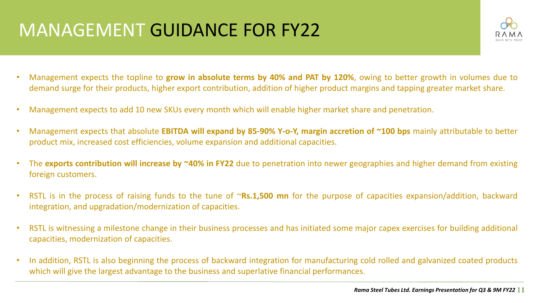# MANAGEMENT GUIDANCE FOR FY22



- Management expects the topline to **grow in absolute terms by 40% and PAT by 120%**, owing to better growth in volumes due to demand surge for their products, higher export contribution, addition of higher product margins and tapping greater market share.
- Management expects to add 10 new SKUs every month which will enable higher market share and penetration.
- Management expects that absolute **EBITDA will expand by 85-90% Y-o-Y, margin accretion of ~100 bps** mainly attributable to better product mix, increased cost efficiencies, volume expansion and additional capacities.
- The **exports contribution will increase by ~40% in FY22** due to penetration into newer geographies and higher demand from existing foreign customers.
- RSTL is in the process of raising funds to the tune of ~**Rs.1,500 mn** for the purpose of capacities expansion/addition, backward integration, and upgradation/modernization of capacities.
- RSTL is witnessing a milestone change in their business processes and has initiated some major capex exercises for building additional capacities, modernization of capacities.
- In addition, RSTL is also beginning the process of backward integration for manufacturing cold rolled and galvanized coated products which will give the largest advantage to the business and superlative financial performances.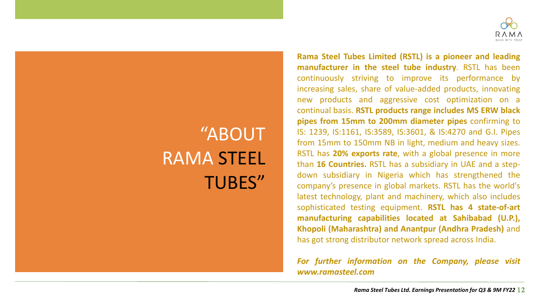

**11**

# "ABOUT RAMA STEEL TUBES"

**Rama Steel Tubes Limited (RSTL) is a pioneer and leading manufacturer in the steel tube industry**. RSTL has been continuously striving to improve its performance by increasing sales, share of value-added products, innovating new products and aggressive cost optimization on a continual basis. **RSTL products range includes MS ERW black pipes from 15mm to 200mm diameter pipes** confirming to IS: 1239, IS:1161, IS:3589, IS:3601, & IS:4270 and G.I. Pipes from 15mm to 150mm NB in light, medium and heavy sizes. RSTL has **20% exports rate**, with a global presence in more than **16 Countries.** RSTL has a subsidiary in UAE and a stepdown subsidiary in Nigeria which has strengthened the company's presence in global markets. RSTL has the world's latest technology, plant and machinery, which also includes sophisticated testing equipment. **RSTL has 4 state-of-art manufacturing capabilities located at Sahibabad (U.P.), Khopoli (Maharashtra) and Anantpur (Andhra Pradesh)** and has got strong distributor network spread across India.

*For further information on the Company, please visit www.ramasteel.com*